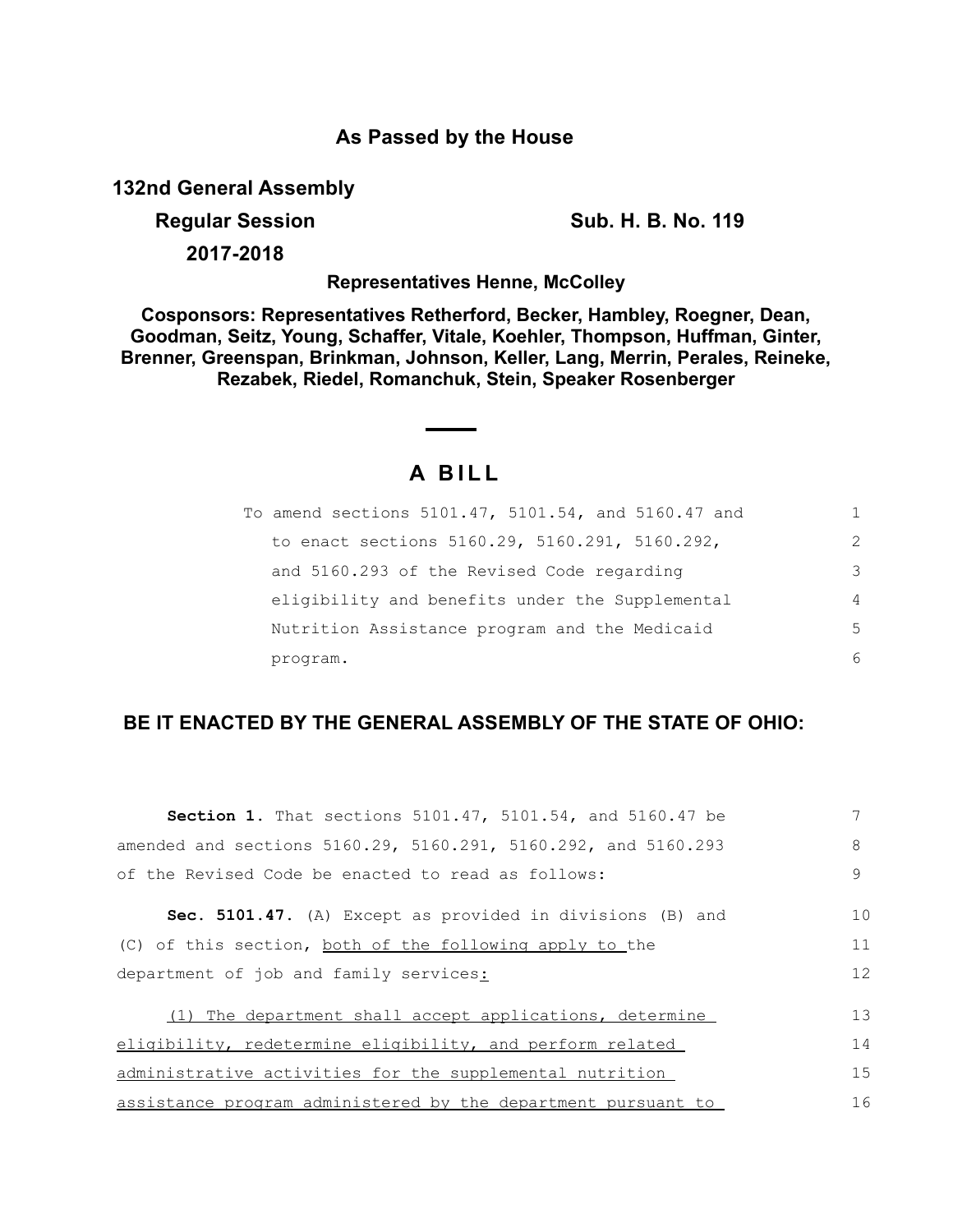## **As Passed by the House**

**132nd General Assembly**

**Regular Session Sub. H. B. No. 119** 

**2017-2018**

**Representatives Henne, McColley**

**Cosponsors: Representatives Retherford, Becker, Hambley, Roegner, Dean, Goodman, Seitz, Young, Schaffer, Vitale, Koehler, Thompson, Huffman, Ginter, Brenner, Greenspan, Brinkman, Johnson, Keller, Lang, Merrin, Perales, Reineke, Rezabek, Riedel, Romanchuk, Stein, Speaker Rosenberger**

## **A B I L L**

| To amend sections 5101.47, 5101.54, and 5160.47 and |                |
|-----------------------------------------------------|----------------|
| to enact sections 5160.29, 5160.291, 5160.292,      | $\mathcal{L}$  |
| and 5160.293 of the Revised Code regarding          | 3              |
| eligibility and benefits under the Supplemental     | $\overline{4}$ |
| Nutrition Assistance program and the Medicaid       | 5              |
| program.                                            | 6              |

## **BE IT ENACTED BY THE GENERAL ASSEMBLY OF THE STATE OF OHIO:**

| <b>Section 1.</b> That sections 5101.47, 5101.54, and 5160.47 be |    |
|------------------------------------------------------------------|----|
| amended and sections 5160.29, 5160.291, 5160.292, and 5160.293   | 8  |
| of the Revised Code be enacted to read as follows:               | 9  |
| Sec. 5101.47. (A) Except as provided in divisions (B) and        | 10 |
| (C) of this section, both of the following apply to the          | 11 |
| department of job and family services:                           | 12 |
| (1) The department shall accept applications, determine          | 13 |
| eligibility, redetermine eligibility, and perform related        | 14 |
| administrative activities for the supplemental nutrition         | 15 |
| assistance program administered by the department pursuant to    | 16 |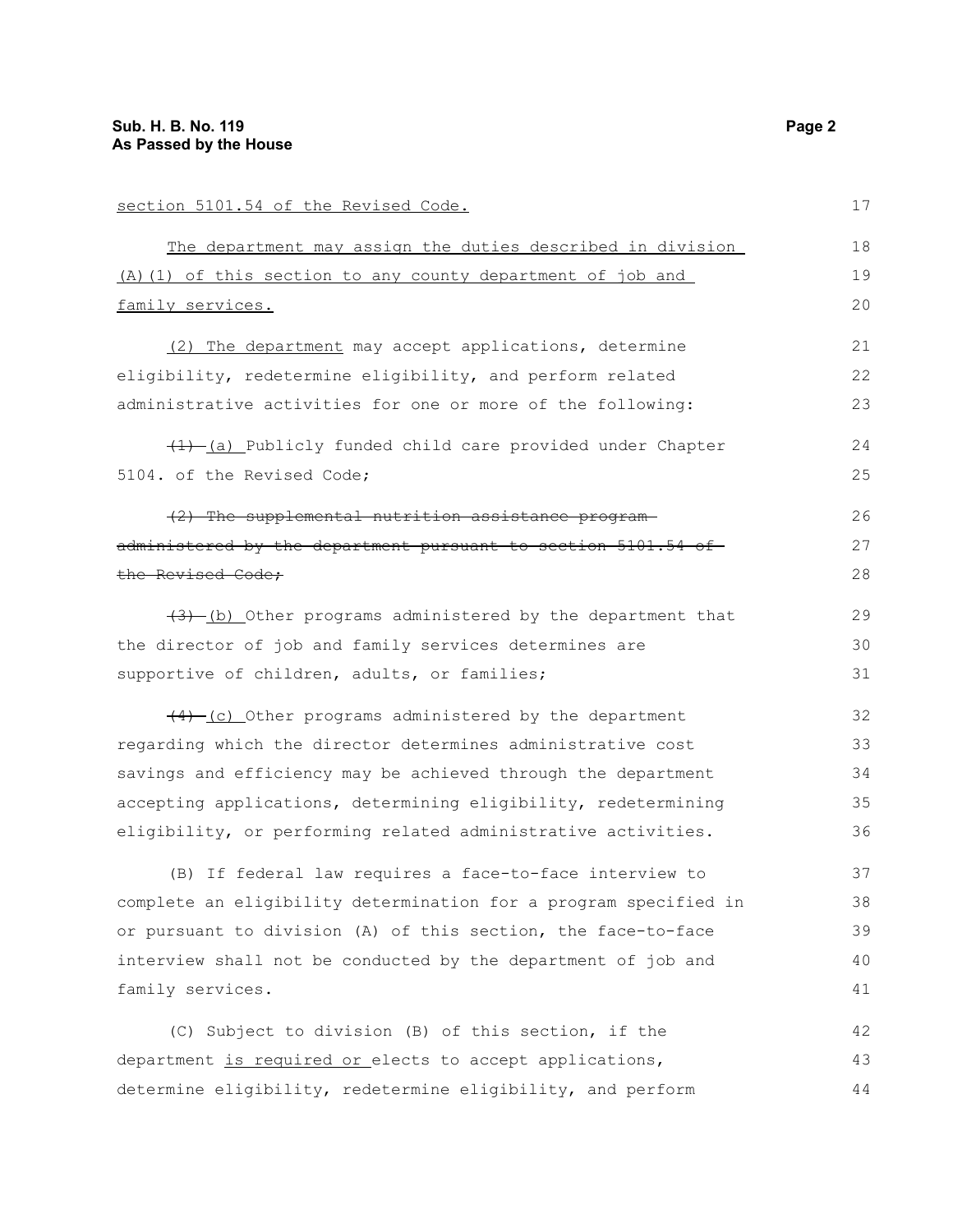| section 5101.54 of the Revised Code.                             | 17 |
|------------------------------------------------------------------|----|
| The department may assign the duties described in division       | 18 |
| (A) (1) of this section to any county department of job and      | 19 |
| family services.                                                 | 20 |
| (2) The department may accept applications, determine            | 21 |
| eligibility, redetermine eligibility, and perform related        | 22 |
| administrative activities for one or more of the following:      | 23 |
| (1) (a) Publicly funded child care provided under Chapter        | 24 |
| 5104. of the Revised Code;                                       | 25 |
| (2) The supplemental nutrition assistance program-               | 26 |
| administered by the department pursuant to section 5101.54 of    | 27 |
| the Revised Code;                                                | 28 |
| $(3)$ (b) Other programs administered by the department that     | 29 |
| the director of job and family services determines are           | 30 |
| supportive of children, adults, or families;                     | 31 |
| $(4)$ (c) Other programs administered by the department          | 32 |
| regarding which the director determines administrative cost      | 33 |
| savings and efficiency may be achieved through the department    | 34 |
| accepting applications, determining eligibility, redetermining   | 35 |
| eligibility, or performing related administrative activities.    | 36 |
| (B) If federal law requires a face-to-face interview to          | 37 |
| complete an eligibility determination for a program specified in | 38 |
| or pursuant to division (A) of this section, the face-to-face    | 39 |
| interview shall not be conducted by the department of job and    | 40 |
| family services.                                                 | 41 |
| (C) Subject to division (B) of this section, if the              | 42 |
| department is required or elects to accept applications,         | 43 |
| determine eligibility, redetermine eligibility, and perform      | 44 |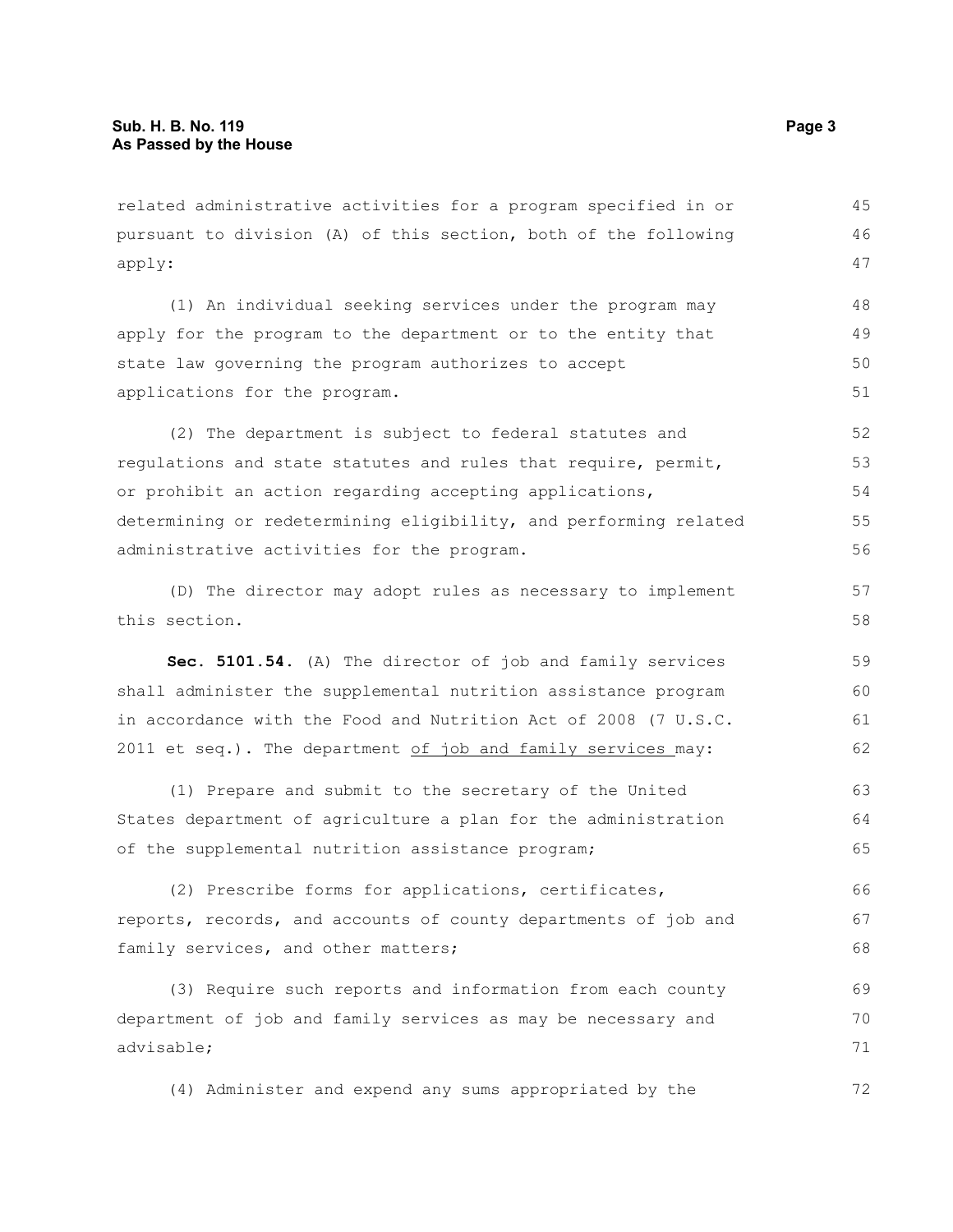related administrative activities for a program specified in or pursuant to division (A) of this section, both of the following apply: 45 46 47

(1) An individual seeking services under the program may apply for the program to the department or to the entity that state law governing the program authorizes to accept applications for the program. 48 49 50 51

(2) The department is subject to federal statutes and regulations and state statutes and rules that require, permit, or prohibit an action regarding accepting applications, determining or redetermining eligibility, and performing related administrative activities for the program. 52 53 54 55 56

(D) The director may adopt rules as necessary to implement this section.

**Sec. 5101.54.** (A) The director of job and family services shall administer the supplemental nutrition assistance program in accordance with the Food and Nutrition Act of 2008 (7 U.S.C. 2011 et seq.). The department  $of$  job and family services may: 59 60 61 62

(1) Prepare and submit to the secretary of the United States department of agriculture a plan for the administration of the supplemental nutrition assistance program; 63 64 65

(2) Prescribe forms for applications, certificates, reports, records, and accounts of county departments of job and family services, and other matters; 66 67 68

(3) Require such reports and information from each county department of job and family services as may be necessary and advisable; 69 70 71

(4) Administer and expend any sums appropriated by the

57 58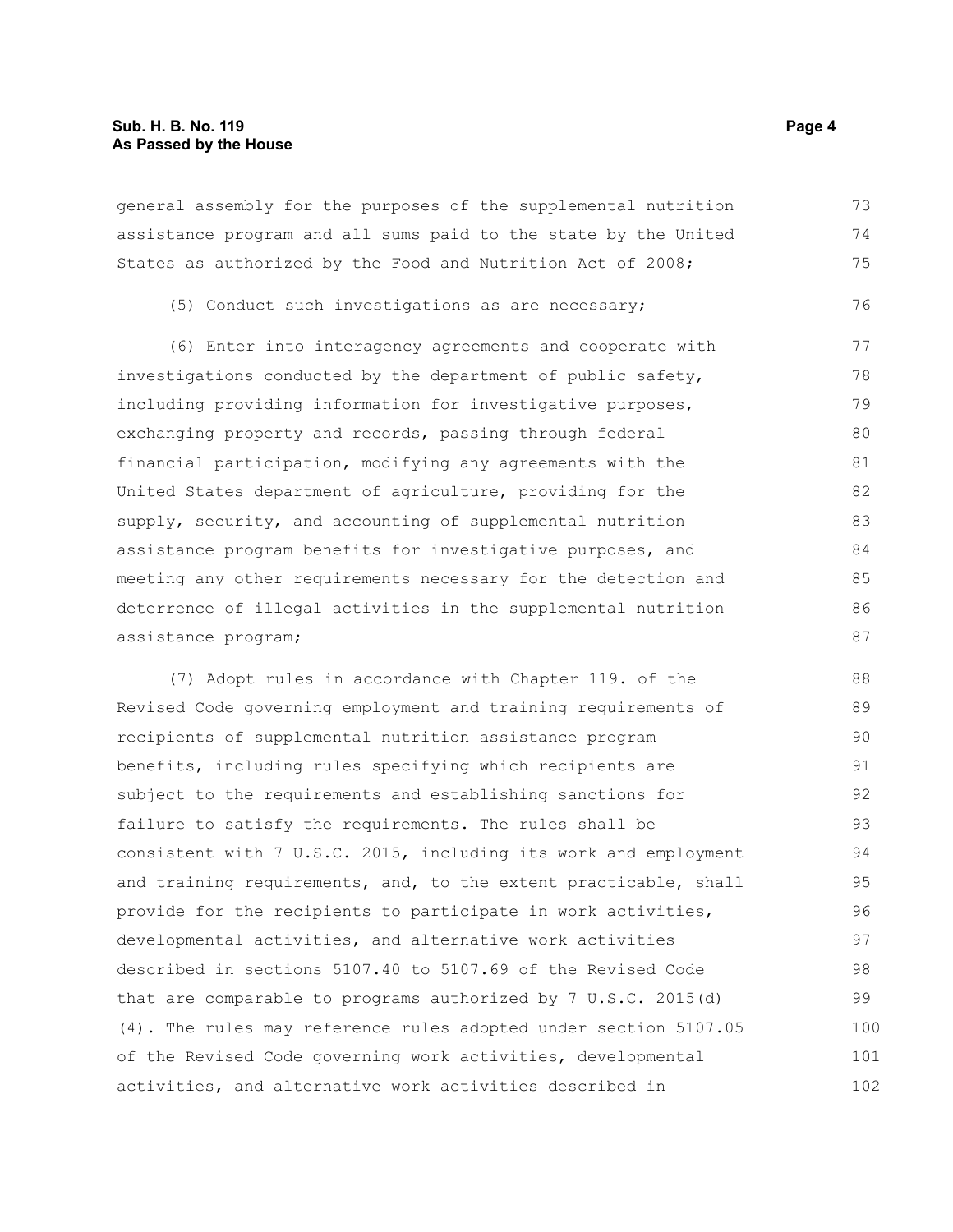general assembly for the purposes of the supplemental nutrition assistance program and all sums paid to the state by the United States as authorized by the Food and Nutrition Act of 2008;

(5) Conduct such investigations as are necessary;

(6) Enter into interagency agreements and cooperate with investigations conducted by the department of public safety, including providing information for investigative purposes, exchanging property and records, passing through federal financial participation, modifying any agreements with the United States department of agriculture, providing for the supply, security, and accounting of supplemental nutrition assistance program benefits for investigative purposes, and meeting any other requirements necessary for the detection and deterrence of illegal activities in the supplemental nutrition assistance program; 77 78 79 80 81 82 83 84 85 86 87

(7) Adopt rules in accordance with Chapter 119. of the Revised Code governing employment and training requirements of recipients of supplemental nutrition assistance program benefits, including rules specifying which recipients are subject to the requirements and establishing sanctions for failure to satisfy the requirements. The rules shall be consistent with 7 U.S.C. 2015, including its work and employment and training requirements, and, to the extent practicable, shall provide for the recipients to participate in work activities, developmental activities, and alternative work activities described in sections 5107.40 to 5107.69 of the Revised Code that are comparable to programs authorized by 7 U.S.C. 2015(d) (4). The rules may reference rules adopted under section 5107.05 of the Revised Code governing work activities, developmental activities, and alternative work activities described in 88 89 90 91 92 93 94 95 96 97 98 99 100 101 102

73 74 75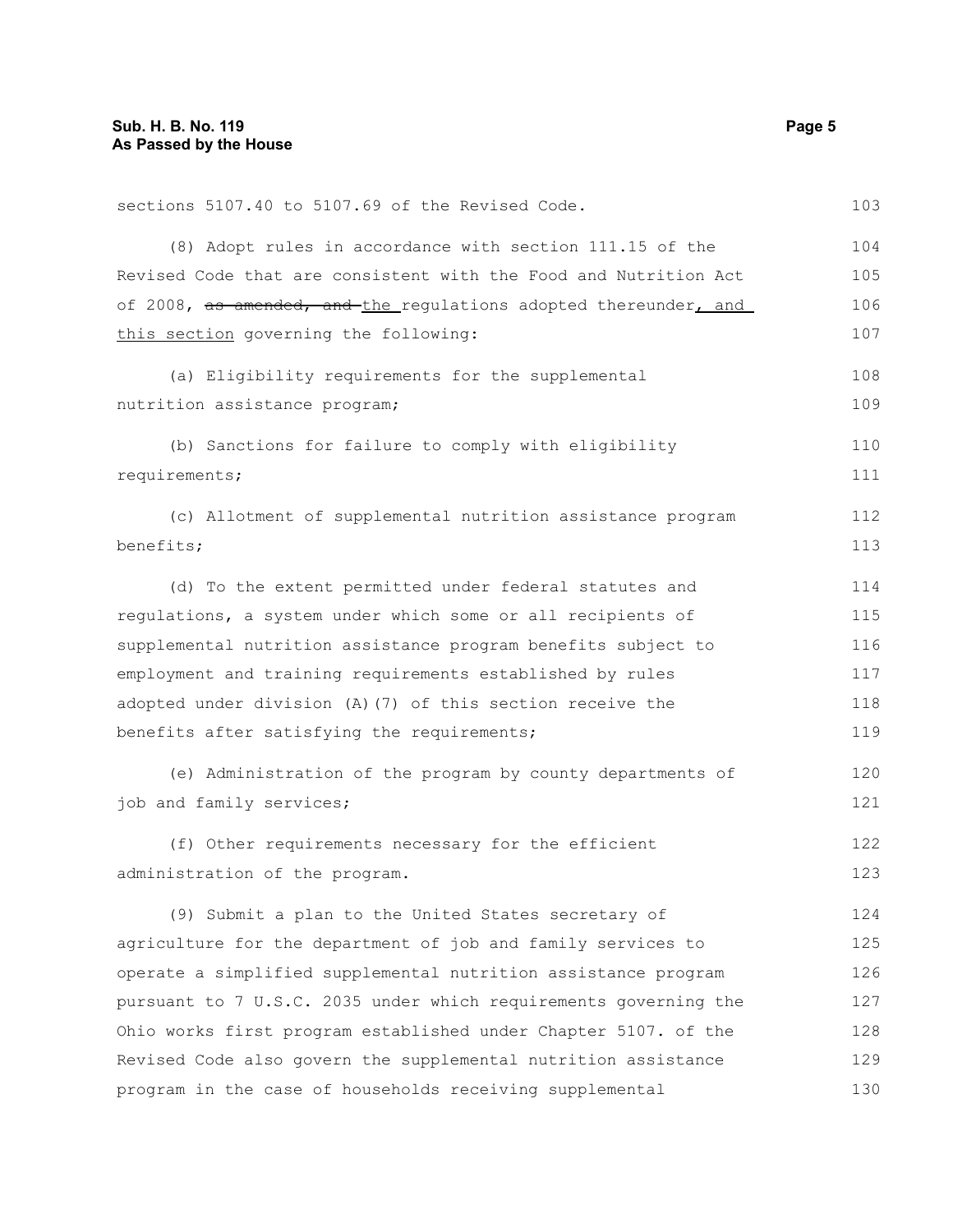| sections 5107.40 to 5107.69 of the Revised Code.                 | 103 |
|------------------------------------------------------------------|-----|
| (8) Adopt rules in accordance with section 111.15 of the         | 104 |
| Revised Code that are consistent with the Food and Nutrition Act | 105 |
| of 2008, as amended, and the requiations adopted thereunder, and | 106 |
| this section governing the following:                            | 107 |
| (a) Eligibility requirements for the supplemental                | 108 |
| nutrition assistance program;                                    | 109 |
| (b) Sanctions for failure to comply with eligibility             | 110 |
| requirements;                                                    | 111 |
| (c) Allotment of supplemental nutrition assistance program       | 112 |
| benefits;                                                        | 113 |
| (d) To the extent permitted under federal statutes and           | 114 |
| requlations, a system under which some or all recipients of      | 115 |
| supplemental nutrition assistance program benefits subject to    | 116 |
| employment and training requirements established by rules        | 117 |
| adopted under division (A) (7) of this section receive the       | 118 |
| benefits after satisfying the requirements;                      | 119 |
| (e) Administration of the program by county departments of       | 120 |
| job and family services;                                         | 121 |
| (f) Other requirements necessary for the efficient               | 122 |
| administration of the program.                                   | 123 |
| (9) Submit a plan to the United States secretary of              | 124 |
| agriculture for the department of job and family services to     | 125 |
| operate a simplified supplemental nutrition assistance program   | 126 |
| pursuant to 7 U.S.C. 2035 under which requirements governing the | 127 |
| Ohio works first program established under Chapter 5107. of the  | 128 |
| Revised Code also govern the supplemental nutrition assistance   | 129 |
| program in the case of households receiving supplemental         | 130 |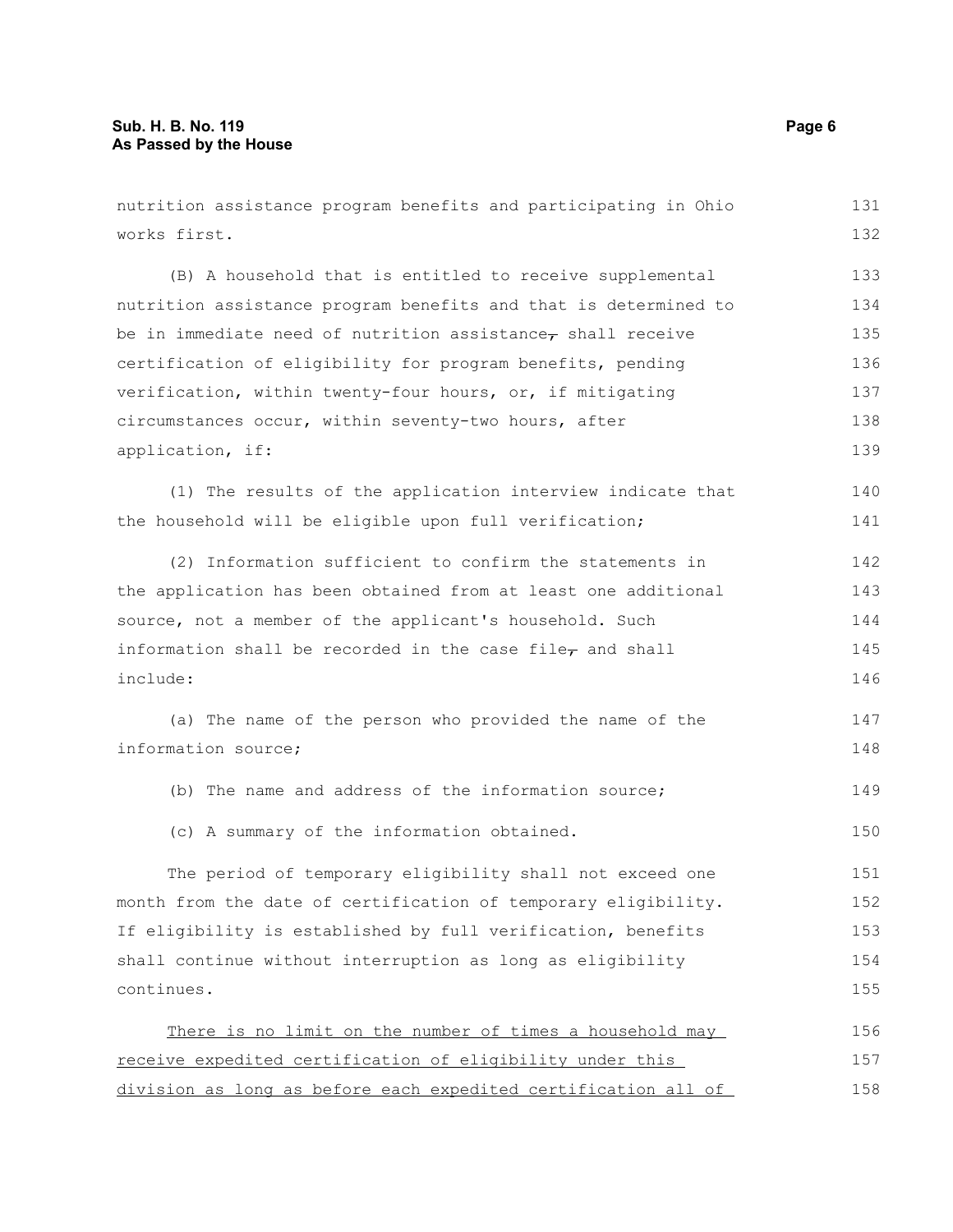nutrition assistance program benefits and participating in Ohio works first. (B) A household that is entitled to receive supplemental nutrition assistance program benefits and that is determined to be in immediate need of nutrition assistance $_{\tau}$  shall receive certification of eligibility for program benefits, pending verification, within twenty-four hours, or, if mitigating circumstances occur, within seventy-two hours, after application, if: (1) The results of the application interview indicate that the household will be eligible upon full verification; (2) Information sufficient to confirm the statements in the application has been obtained from at least one additional source, not a member of the applicant's household. Such information shall be recorded in the case file $_7$  and shall include: (a) The name of the person who provided the name of the information source; (b) The name and address of the information source; (c) A summary of the information obtained. The period of temporary eligibility shall not exceed one month from the date of certification of temporary eligibility. If eligibility is established by full verification, benefits shall continue without interruption as long as eligibility continues. There is no limit on the number of times a household may receive expedited certification of eligibility under this division as long as before each expedited certification all of 131 132 133 134 135 136 137 138 139 140 141 142 143 144 145 146 147 148 149 150 151 152 153 154 155 156 157 158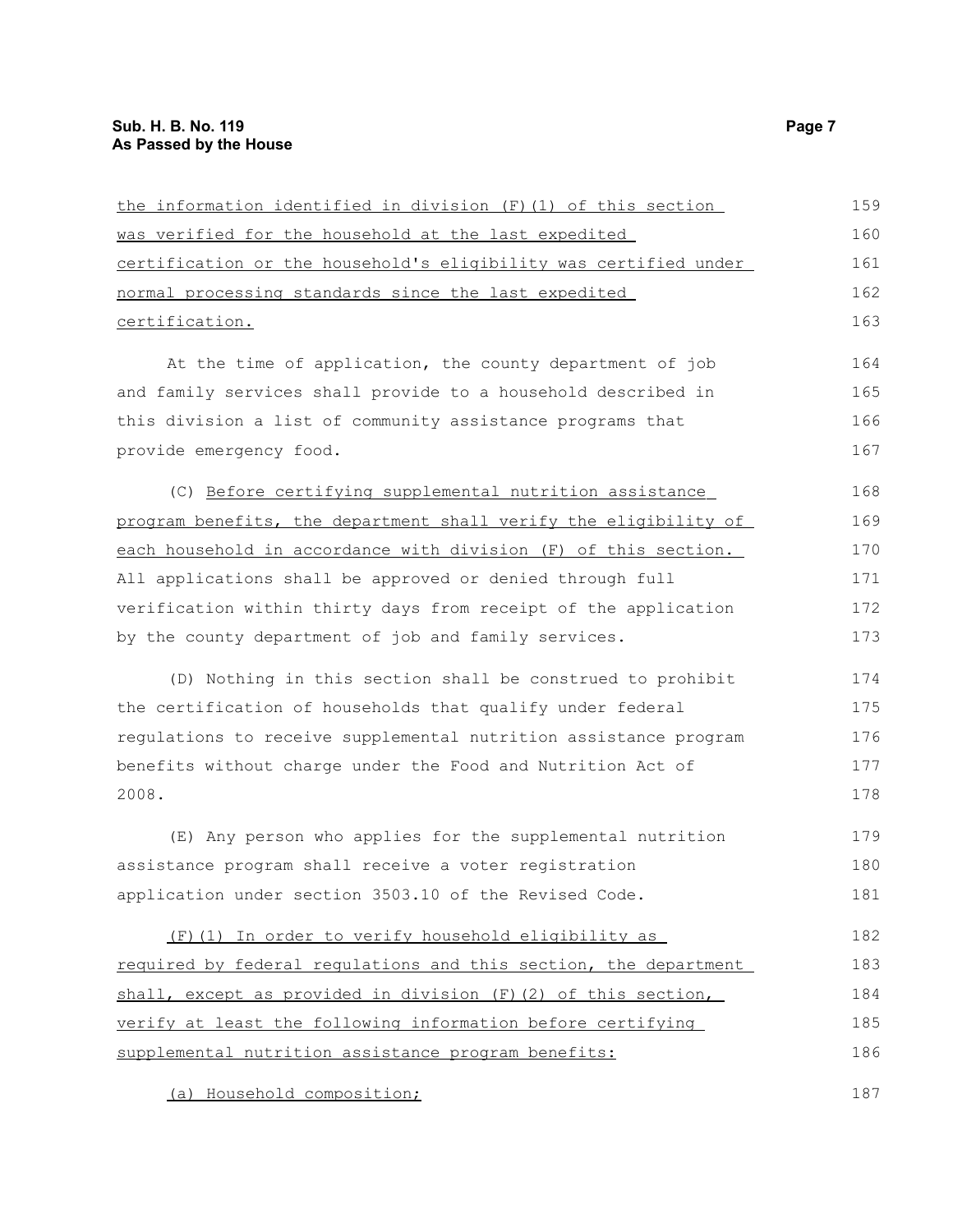| the information identified in division (F) (1) of this section   | 159 |
|------------------------------------------------------------------|-----|
| was verified for the household at the last expedited             | 160 |
| certification or the household's eligibility was certified under | 161 |
| normal processing standards since the last expedited             | 162 |
| certification.                                                   | 163 |
| At the time of application, the county department of job         | 164 |
| and family services shall provide to a household described in    | 165 |
| this division a list of community assistance programs that       | 166 |
| provide emergency food.                                          | 167 |
| (C) Before certifying supplemental nutrition assistance          | 168 |
| program benefits, the department shall verify the eligibility of | 169 |
| each household in accordance with division (F) of this section.  | 170 |
| All applications shall be approved or denied through full        | 171 |
| verification within thirty days from receipt of the application  | 172 |
| by the county department of job and family services.             | 173 |
| (D) Nothing in this section shall be construed to prohibit       | 174 |
| the certification of households that qualify under federal       | 175 |
| regulations to receive supplemental nutrition assistance program | 176 |
| benefits without charge under the Food and Nutrition Act of      | 177 |
| 2008.                                                            | 178 |
| (E) Any person who applies for the supplemental nutrition        | 179 |
| assistance program shall receive a voter registration            | 180 |
| application under section 3503.10 of the Revised Code.           | 181 |
| (F)(1) In order to verify household eligibility as               | 182 |
| required by federal regulations and this section, the department | 183 |
| shall, except as provided in division (F) (2) of this section,   | 184 |
| verify at least the following information before certifying      | 185 |
| supplemental nutrition assistance program benefits:              | 186 |
|                                                                  |     |

(a) Household composition;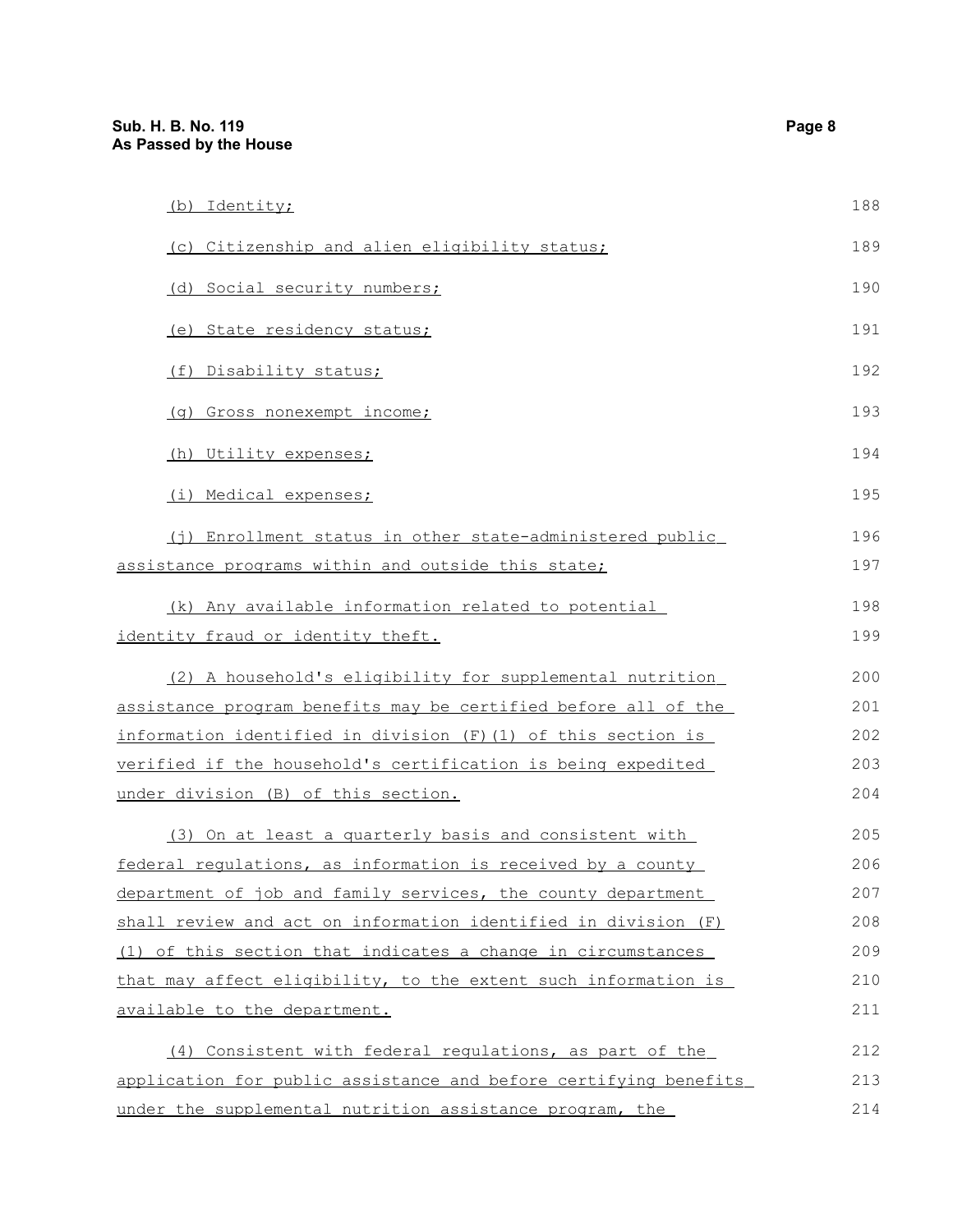| (b) Identity;                                                    | 188 |
|------------------------------------------------------------------|-----|
| (c) Citizenship and alien eligibility status;                    | 189 |
| (d) Social security numbers;                                     | 190 |
| (e) State residency status;                                      | 191 |
| (f) Disability status;                                           | 192 |
| (g) Gross nonexempt income;                                      | 193 |
| (h) Utility expenses;                                            | 194 |
| (i) Medical expenses;                                            | 195 |
| (j) Enrollment status in other state-administered public         | 196 |
| assistance programs within and outside this state;               | 197 |
| (k) Any available information related to potential               | 198 |
| identity fraud or identity theft.                                | 199 |
| (2) A household's eligibility for supplemental nutrition         | 200 |
| assistance program benefits may be certified before all of the   | 201 |
| information identified in division $(F)$ (1) of this section is  | 202 |
| verified if the household's certification is being expedited     | 203 |
| under division (B) of this section.                              | 204 |
| (3) On at least a quarterly basis and consistent with            | 205 |
| federal regulations, as information is received by a county      | 206 |
| department of job and family services, the county department     | 207 |
| shall review and act on information identified in division (F)   | 208 |
| (1) of this section that indicates a change in circumstances     | 209 |
| that may affect eligibility, to the extent such information is   | 210 |
| available to the department.                                     | 211 |
| (4) Consistent with federal regulations, as part of the          | 212 |
| application for public assistance and before certifying benefits | 213 |
| under the supplemental nutrition assistance program, the         | 214 |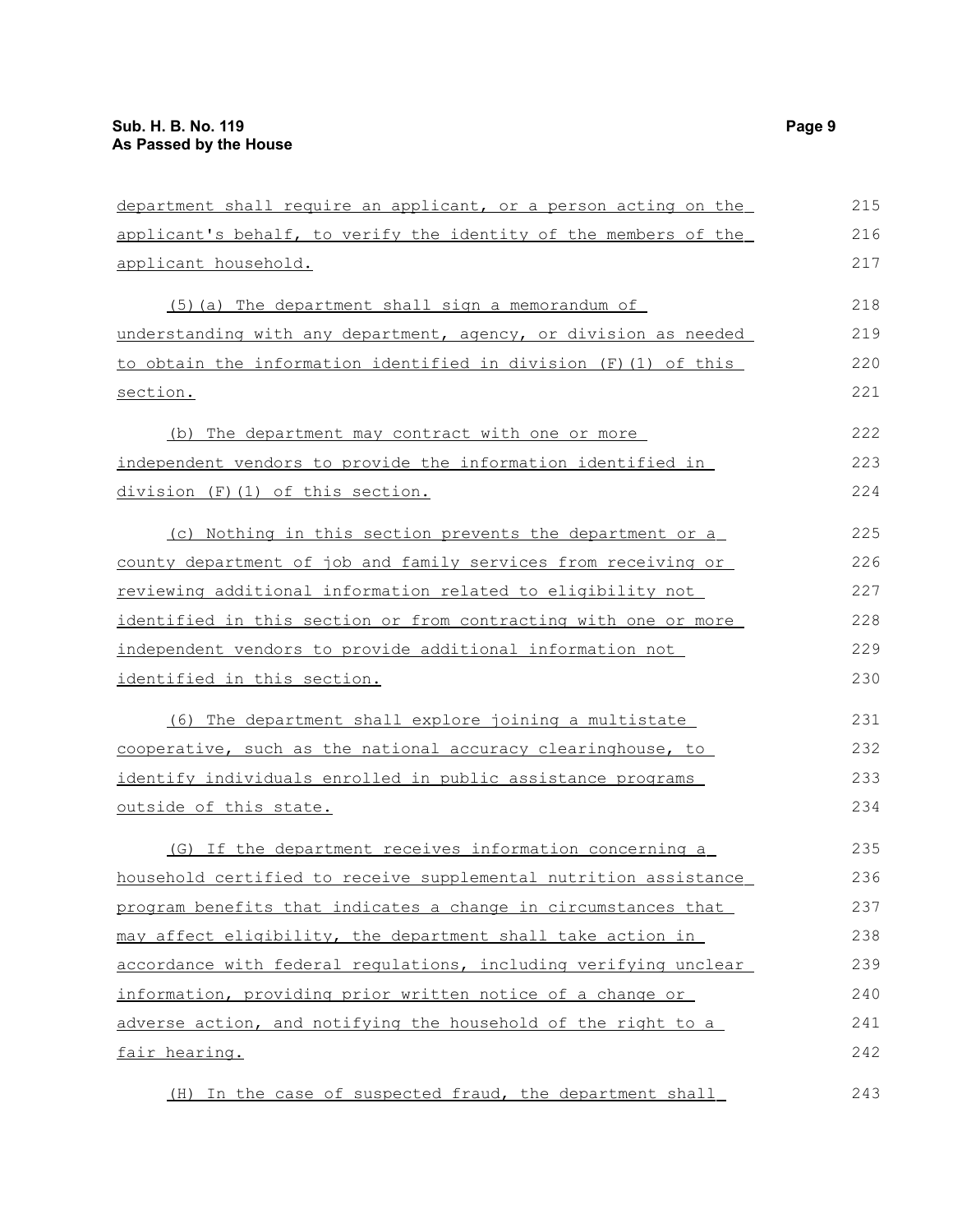| department shall require an applicant, or a person acting on the | 215 |
|------------------------------------------------------------------|-----|
| applicant's behalf, to verify the identity of the members of the | 216 |
| applicant household.                                             | 217 |
| (5) (a) The department shall sign a memorandum of                | 218 |
| understanding with any department, agency, or division as needed | 219 |
| to obtain the information identified in division (F)(1) of this  | 220 |
| section.                                                         | 221 |
| (b) The department may contract with one or more                 | 222 |
| independent vendors to provide the information identified in     | 223 |
| division (F)(1) of this section.                                 | 224 |
| (c) Nothing in this section prevents the department or a         | 225 |
| county department of job and family services from receiving or   | 226 |
| reviewing additional information related to eligibility not      | 227 |
| identified in this section or from contracting with one or more  | 228 |
| independent vendors to provide additional information not        | 229 |
| identified in this section.                                      | 230 |
| (6) The department shall explore joining a multistate            | 231 |
| cooperative, such as the national accuracy clearinghouse, to     | 232 |
| identify individuals enrolled in public assistance programs      | 233 |
| outside of this state.                                           | 234 |
| (G) If the department receives information concerning a          | 235 |
| household certified to receive supplemental nutrition assistance | 236 |
| program benefits that indicates a change in circumstances that   | 237 |
| may affect eligibility, the department shall take action in      | 238 |
| accordance with federal requlations, including verifying unclear | 239 |
| information, providing prior written notice of a change or       | 240 |
| adverse action, and notifying the household of the right to a    | 241 |
| fair hearing.                                                    | 242 |
| (H) In the case of suspected fraud, the department shall         | 243 |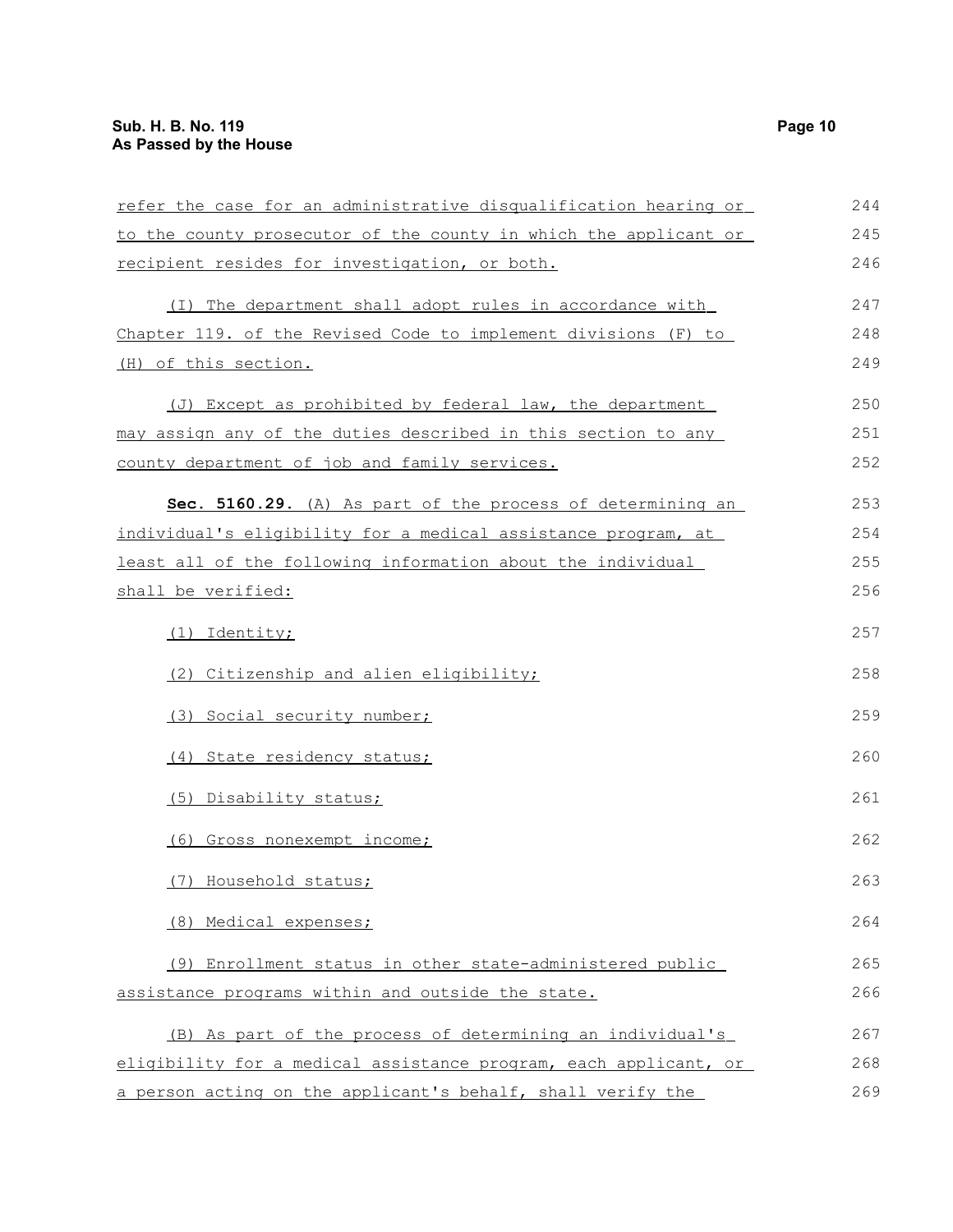| refer the case for an administrative disqualification hearing or | 244 |
|------------------------------------------------------------------|-----|
| to the county prosecutor of the county in which the applicant or | 245 |
| recipient resides for investigation, or both.                    | 246 |
| (I) The department shall adopt rules in accordance with          | 247 |
| Chapter 119. of the Revised Code to implement divisions (F) to   | 248 |
| (H) of this section.                                             | 249 |
| (J) Except as prohibited by federal law, the department          | 250 |
| may assign any of the duties described in this section to any    | 251 |
| county department of job and family services.                    | 252 |
| Sec. 5160.29. (A) As part of the process of determining an       | 253 |
| individual's eligibility for a medical assistance program, at    | 254 |
| least all of the following information about the individual      | 255 |
| shall be verified:                                               | 256 |
| (1) Identity;                                                    | 257 |
| (2) Citizenship and alien eligibility;                           | 258 |
| (3) Social security number;                                      | 259 |
| (4) State residency status;                                      | 260 |
| (5) Disability status;                                           | 261 |
| (6) Gross nonexempt income;                                      | 262 |
| (7) Household status;                                            | 263 |
| (8) Medical expenses;                                            | 264 |
| (9) Enrollment status in other state-administered public         | 265 |
| assistance programs within and outside the state.                | 266 |
| (B) As part of the process of determining an individual's        | 267 |
| eligibility for a medical assistance program, each applicant, or | 268 |
| a person acting on the applicant's behalf, shall verify the      | 269 |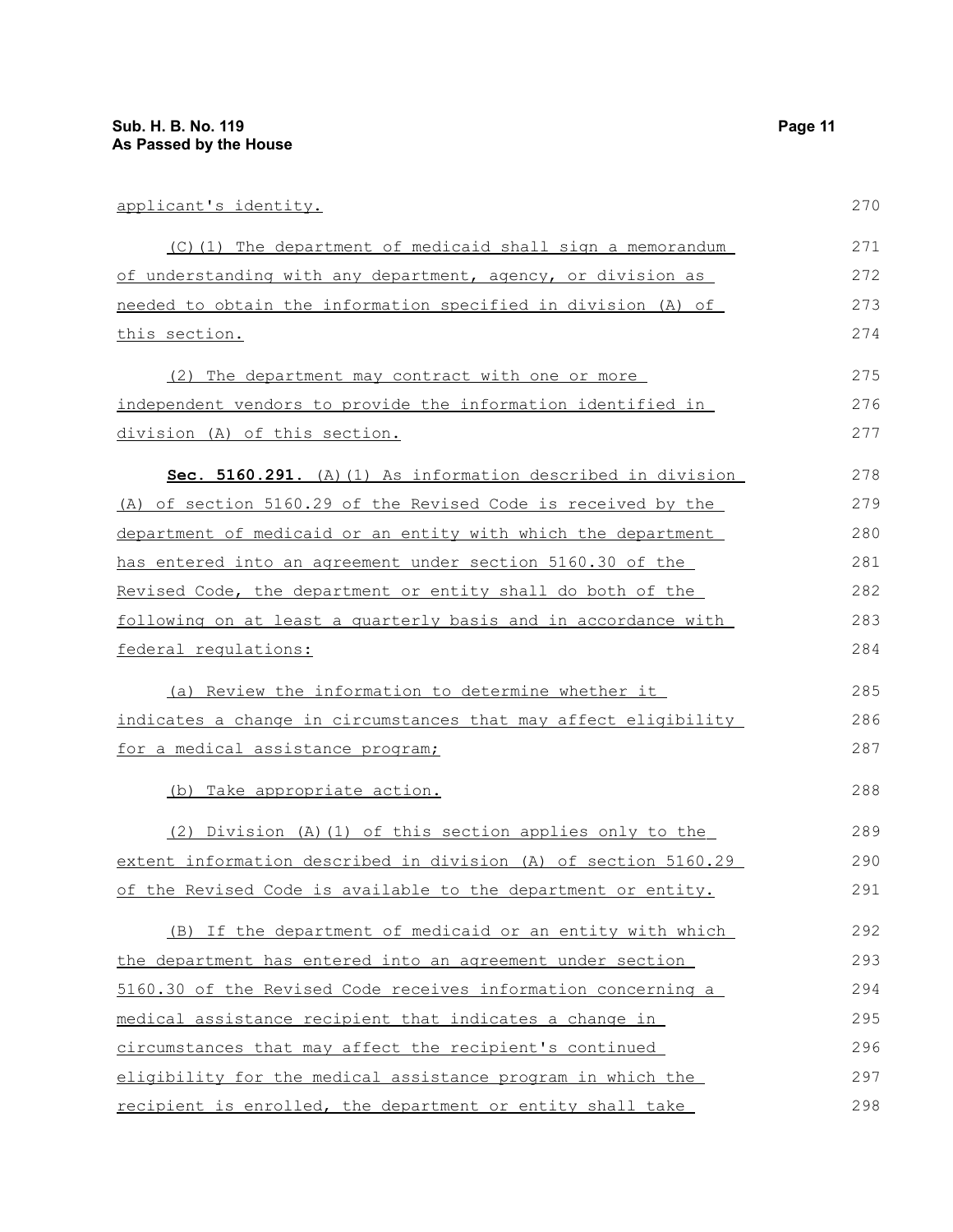| applicant's identity.                                           | 270 |
|-----------------------------------------------------------------|-----|
| (C)(1) The department of medicaid shall sign a memorandum       | 271 |
| of understanding with any department, agency, or division as    | 272 |
| needed to obtain the information specified in division (A) of   | 273 |
| <u>this section.</u>                                            | 274 |
| (2) The department may contract with one or more                | 275 |
| independent vendors to provide the information identified in    | 276 |
| division (A) of this section.                                   | 277 |
| Sec. 5160.291. (A) (1) As information described in division     | 278 |
| (A) of section 5160.29 of the Revised Code is received by the   | 279 |
| department of medicaid or an entity with which the department   | 280 |
| has entered into an agreement under section 5160.30 of the      | 281 |
| Revised Code, the department or entity shall do both of the     | 282 |
| following on at least a quarterly basis and in accordance with  | 283 |
| federal requlations:                                            | 284 |
| (a) Review the information to determine whether it              | 285 |
| indicates a change in circumstances that may affect eligibility | 286 |
| <u>for a medical assistance program;</u>                        | 287 |
| (b) Take appropriate action.                                    | 288 |
| (2) Division (A) (1) of this section applies only to the        | 289 |
| extent information described in division (A) of section 5160.29 | 290 |
| of the Revised Code is available to the department or entity.   | 291 |
| (B) If the department of medicaid or an entity with which       | 292 |
| the department has entered into an agreement under section      | 293 |
| 5160.30 of the Revised Code receives information concerning a   | 294 |
| medical assistance recipient that indicates a change in         | 295 |
| circumstances that may affect the recipient's continued         | 296 |
| eligibility for the medical assistance program in which the     | 297 |
| recipient is enrolled, the department or entity shall take      | 298 |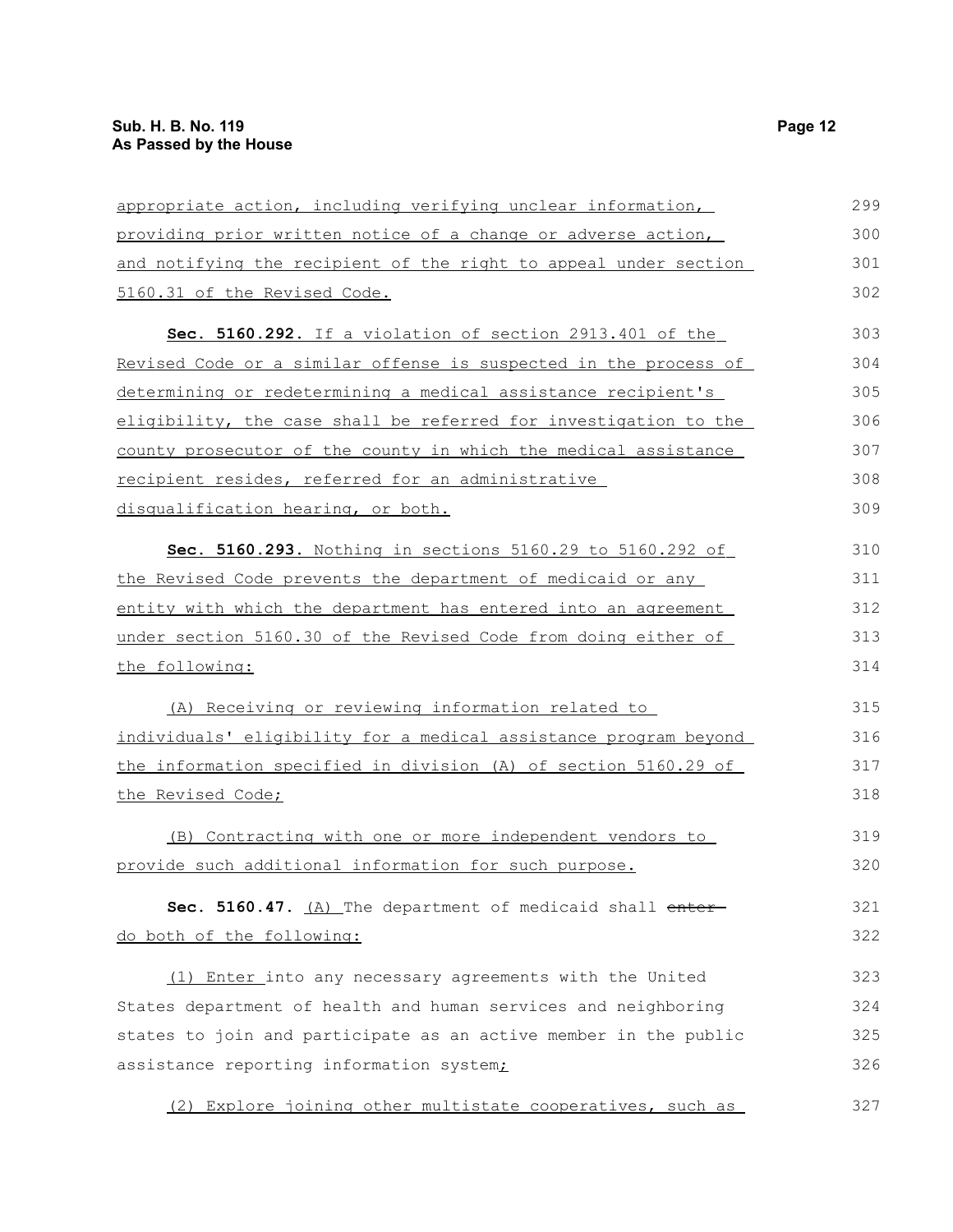| appropriate action, including verifying unclear information,     | 299 |
|------------------------------------------------------------------|-----|
| providing prior written notice of a change or adverse action,    | 300 |
| and notifying the recipient of the right to appeal under section | 301 |
| 5160.31 of the Revised Code.                                     | 302 |
| Sec. 5160.292. If a violation of section 2913.401 of the         | 303 |
| Revised Code or a similar offense is suspected in the process of | 304 |
| determining or redetermining a medical assistance recipient's    | 305 |
| eligibility, the case shall be referred for investigation to the | 306 |
| county prosecutor of the county in which the medical assistance  | 307 |
| recipient resides, referred for an administrative                | 308 |
| disqualification hearing, or both.                               | 309 |
| Sec. 5160.293. Nothing in sections 5160.29 to 5160.292 of        | 310 |
| the Revised Code prevents the department of medicaid or any      | 311 |
| entity with which the department has entered into an agreement   | 312 |
| under section 5160.30 of the Revised Code from doing either of   | 313 |
| the following:                                                   | 314 |
| (A) Receiving or reviewing information related to                | 315 |
| individuals' eligibility for a medical assistance program beyond | 316 |
| the information specified in division (A) of section 5160.29 of  | 317 |
| the Revised Code;                                                | 318 |
| (B) Contracting with one or more independent vendors to          | 319 |
| provide such additional information for such purpose.            | 320 |
| Sec. 5160.47. (A) The department of medicaid shall enter-        | 321 |
| do both of the following:                                        | 322 |
| (1) Enter into any necessary agreements with the United          | 323 |
| States department of health and human services and neighboring   | 324 |
| states to join and participate as an active member in the public | 325 |
| assistance reporting information system;                         | 326 |
| (2) Explore joining other multistate cooperatives, such as       | 327 |